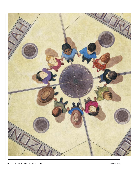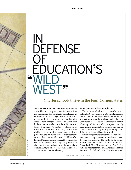# THE SENA<br>
THE SENA<br>
as the U.S<br>
as the U.S<br>
hurl accusa<br>
her home s<br>
of low stu<br>
chaos. The<br>
the best stu<br>
stanford U<br>
Education<br>
Michigan c<br>
gains relativ<br>
particularly<br>
describe Mi<br>
who live in<br>
who pay att IN<br>DEFENSE EDUCATION**'**S  $WEST$ <sup>22</sup>

# Charter schools thrive in the Four Corners states

**THE SENATE CONFIRMATION** of Betsy DeVos as the U.S. secretary of education saw critics hurl accusations that the charter school sector in her home state of Michigan was a "Wild West" of low student performance and authorizing chaos. These charges seemed odd, given that the best studies available on the subject—from Stanford University's Center for Research on Education Outcomes (CREDO)—show that Michigan charter students make large academic gains relative to similar students at district schools, particularly in Detroit. The use of "Wild West" to describe Michigan seemed odder still to those of us who live in the *actual* West, especially those of us who pay attention to charter school results. Many of us are happy to embrace the "Wild West" label as it pertains to charter schooling.

#### **Four Corners Charter Policies**

The point at which the corners of Arizona, Colorado, New Mexico, and Utah meet is the only spot in the United States where the borders of four states converge. Beyond geography, the Four Corners states share a similar approach to charter schooling. All four states have adopted relatively freewheeling authorization policies, and charter schools there show signs of prospering—and delivering substantial benefits to students.

National organizations that rank charter-school laws have varying opinions on the charter laws of the Four Corners states. The Center for Education Reform gives the Arizona law an A, Colorado's a B, and both New Mexico's and Utah's a C. The National Alliance for Public Charter Schools ranks Arizona 11th, Colorado 5th, New Mexico 22nd,

by MATTHEW LADNER

ILLUSTRATION

LLUSTRATION/DAVID BRINLEY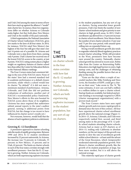and Utah 23rd among the states in terms of how their laws stack up against the alliance's "model" state charter law. In essence, these two organizations differ on whether Arizona or Colorado ranks higher, but they both place New Mexico and Utah in the middle of the pack nationally.

A third organization, the National Association of Charter School Authorizers (NACSA), gives low marks to the laws of all four states. In 2014, for instance, NACSA rated New Mexico's law highest of the four but still gave that state's law just 14 points out of a possible 30. Arizona and Colorado were a step down from there, earning only 9 points. Utah's charter law received one of the lowest NACSA scores in the country, at just 8 points. NACSA's rating system places a higher weight on regulatory features of charter school laws than either the Center for Education Reform or the National Alliance rankings.

The Four Corners states had consistent failings in the eyes of the NACSA raters: None of the states' laws had a renewal standard tied to academic performance or a default closure provision, under which a school would lose its charter "by default" if it did not meet a minimum standard of performance. Arizona, Colorado, and Utah also did not perform evaluations of authorizers, another part of NACSA's recommended policy framework. New Mexico's efforts in this area boosted its NACSA scores above those of its neighbors. (Arizona has since required that authorizers submit annual reports to the state's auditor general, earning it additional points from NACSA, but the change is too recent to have influenced its charter sector's results yet.)

Not everyone, however, would hold that the absence of such regulatory policies is a detriment.

### **Growing K–12 Enrollment**

A permissive approach to charter schooling suits the needs of rapidly growing states. Between 1990 and 2014, K–12 student enrollment increased by 22 percent nationwide. In Arizona, the increase was 74 percent; in Colorado, 55 percent; in New Mexico, 13 percent; and in Utah, 42 percent. The limits on charter schools in each of the four states correlate strongly with enrollment pressure—how fast the K–12 market is growing. Neither Arizona nor Colorado, which are both experiencing explosive increases

# THE LIMITS

on charter schools in the four states correlate with how fast the K–12 market is growing. Neither Arizona nor Colorado, which are both experiencing explosive increases in the student population, has any sort of cap on charters.

in the student population, has any sort of cap on charters. Facing somewhat lower growth pressures, Utah's law limits the number of new charter-school students and gives priority to new charters in high-growth areas. In 2015, Utah's enrollment cap allowed for a 13 percent increase in charter school enrollment. New Mexico limits the number of new charter schools to 15 per year and 75 per five-year period, with unused spots rolling into an expanded future cap.

Strong overall enrollment growth also tends to engender relatively liberal regulatory practices toward charter schooling. While still prevalent in the West, permissive laws have become rarer around the country. Nationally, charter school growth has slowed in recent years. Robin Lake from the Center on Reinventing Public Education cites high legal barriers to entry, high startup costs, and the challenges of obtaining funding among the possible factors that are at play in this trend.

"Gone are the days when a couple of successful teachers like Mike Feinberg and Dave Levin, the founders of KIPP, could get a charter on their own," Lake wrote in The 74. "By some estimates, it now can cost half a million to a million dollars to open a charter school. Startup funds are available, but federal and private funding is increasingly targeted to CMOs [charter management organizations] with a proven track record."

The Four Corners states have seen rapid charter growth and even more-rapid growth in demand since the turn of this century. All four have experienced charter-school enrollment growth above the national average (Figure 1). In 2014–15, Arizona, Colorado, and Utah were respectively ranked first, second, and third among states in the percentage of K–12 public school students attending charter schools. Arizona had as many as 619 charters as of 2014–15, trailing only California in absolute numbers, yet the net impact of this growth was merely to slow the rate of enrollment growth within school districts—at least until the advent of the Great Recession, which (temporarily) moderated statewide population growth. New Mexico's charter enrollment growth, like the growth of its student population at large, has been more modest, but it is still above the national average.

This relatively rapid pace of charter growth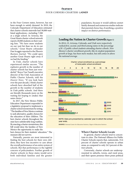## **feature** FOUR CORNERS CHARTERS LADNER

in the Four Corners states, however, has not been enough to satisfy demand. In 2010, the Colorado Department of Education estimated that charter schools statewide had 38,000 wait-

listed applications—including 7,500 at a single school. In Arizona, the Great Hearts charter-school network reports 20,000 students on their waiting lists. "We have more students on our wait list than we do in our schools," Great Hearts cofounder Dan Scoggin reported to the Phoenix Business Journal. "We could open another Great Hearts right away if we had the funding."

In Utah, charter schools have experienced similar success. "The explosive growth in the number of charter schools has been just wonderful," Royce Van Tassell, executive director of the Utah Association of Public Charter Schools, told the Deseret News. "If you look back over the past decade, I think charter schools have absorbed half of the growth in the number of students in Utah public schools. And there are literally thousands more on the waiting list hoping to [make] that same choice."

In 2017, the New Mexico Public Education Department responded to a legislative proposal to implement a charter school moratorium by noting, "The families of New Mexico continue to seek alternative, quality choices for the education of their children. The best charter schools throughout the state have unbelievably long waitlists. By enacting a charter moratorium, this bill would deny the families of New Mexico the opportunity to make the

best choices for their students' education." The measure did not survive.

Naturally, parents are most interested in finding the best schools for their own children; they have less incentive to care about the overall performance of an entire system of schools. But that performance is the rightful concern of policymakers. Further growth of charter schools in these states would serve both individual families and the greater

population, because it would address unmet family demand and numerous studies indicate that parental choice has, if anything, a positive impact on district performance.

## Leading the Nation in Charter Growth (Figure 1)

In 2014–15, Arizona, Colorado, and Utah were respectively ranked first, second, and third among states in the percentage of K–12 public school students attending charter schools. New Mexico's charter enrollment growth, like its student population growth at large, has been more modest, but still comes in above the national average.



NOTE: Data are presented by calendar year in which the school year ends.

**SOURCE:** National Center for Education Statistics, Digest of Education Statistics

#### **Where Charter Schools Locate**

In general, charter schools tend to concentrate in cities. The National Alliance for Public Charter Schools reports that, nationwide, 55.6 percent of charter schools operate in urban areas, as compared to only 24.5 percent of district schools.

Conversely, charter schools are underrepresented in suburbs, towns, and rural areas, and their sparse presence there poses political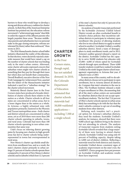barriers to those who would hope to develop a strong and diverse advocacy coalition for charter schools. As Rick Hess of the American Enterprise Institute has pointed out, the education-reform movement's "achievement gap mania" does little to enlist the support of the affluent parents who largely populate these areas. "Because middleclass parents and suburbanites have no personal stake in the gap-closing enterprise, reforms are tolerated [by them] rather than embraced," Hess wrote in 2011.

The 2016 Massachusetts charter-school ballot initiative illustrated the reality of this dilemma. In that election, voters decisively rejected a statewide measure that would have raised a cap on the number of charter schools that was binding only in the state's urban centers. Afterward, some charter advocates expressed concern that suburban voters might view charter schools as something that they pay for through their taxes but which does not benefit their communities. Derrell Bradford, executive director of the New York Campaign for Achievement Now, asserted that the failure of the Massachusetts initiative indicated a need for a "suburban strategy" for the charter school movement.

Relatively liberal charter laws in the Four Corners states have produced a broader distribution of charter schools there relative to the nation as a whole. Charter schools in all four states are concentrated in urban areas, but to a lesser degree than in the nation as a whole. In Arizona—a highly urbanized state with population primarily clustered in the Phoenix and Tucson metropolitan areas—both charter and district schools are concentrated in urban areas, yet as of 2010 there were more than 200 charter schools operating in suburbs, towns, and rural areas. Colorado had more than 100 charter schools operating in non-urban communities that same year.

Utah's focus on relieving district growing pains by focusing new charters in high-growth areas has led to charter schools being underrepresented in towns but overrepresented in rural areas.

New Mexico's charter cap shields small districts from enrollment loss, and as a result, the state's charters cluster primarily in urban settings (51 percent of charter schools operate there compared to 21 percent of New Mexico's district schools) and in suburbs (which host 12.3 percent

# **CHARTER** GROWTH in the Four

Corners states, though rapid, has not satisfied demand. In 2010, the Colorado Department of Education estimated that charter schools statewide had 38,000 waitlisted applications including 7,500 at a single school.

of the state's charters but only 8.2 percent of its district schools).

An analysis of transfer transcripts performed by the Scottsdale (Arizona) Unified School District reveals an often overlooked benefit to inclusive choice policies: they incentivize suburban districts to participate in voluntary open enrollment (the practice of allowing students who live in one school district to apply to attend school in another). Scottsdale Unified, a wealthy suburban district, hired a team of demographers to study enrollment trends, and in 2012, Arizona's auditor general released a report on the district. Scottsdale Unified has the capacity to serve 38,000 students but educates only 25,000—4,000 of whom opted for Scottsdale schools through open enrollment. These 4,000 transfer students would have ranked Scottsdale Unified as the ninth-largest charter school management organization in Arizona that year, if indeed it were a CMO.

In many areas of the country, well-to-do suburban districts choose not to participate in open enrollment, but in Arizona almost all districts do. Compare that state's situation to the one in Ohio. The Fordham Institute released a study of open enrollment in Ohio, documenting that all of the state's urban centers are surrounded by suburban districts that do not accept openenrollment students. The fact that 72.6 percent of Ohio's charter schools operate in urban areas likely has something to do with the fact that the state's suburbs continue to opt out of enrolling students from other districts.

Refusing such transfers isn't a practical option for Arizona's suburban districts; they need the students. Scottsdale Unified's analysis, for instance, showed that there were 9,000 school-age children living in the district but not attending its schools. The analysis of transcript requests from students exiting Scottsdale schools revealed that a large majority of them were leaving to attend charter schools. Scottsdale Unified was using only 65 percent of building capacity, despite taking in 4,000 out-of-district children. Reflecting a statewide trend for both districts and charters, Scottsdale Unified shows consistent signs of academic improvement on the state's test, the AzMERIT. Choice programs have put pressure on Scottsdale Unified, and academic results there have improved.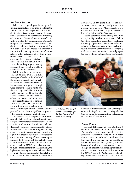## **feature** FOUR CORNERS CHARTERS LADNER

#### **Academic Success**

What else, beyond population growth, explains the rapid rise of the charter sector in the Four Corners states? Higher test scores among charter students are probably part of the equation. It is difficult to pin down the relative quality of charter and district schools with confidence without studies that use admissions lotteries to compare the achievement of students who win charter-school admission to those who don't. Few such studies exist, and indeed this approach is impractical for studying entire sectors of charter schools within a state, not all of which are con-

sistently oversubscribed. The factors explaining the performance of charter school students thus remain a bit of an academic holy mystery—hotly debated, though possibly unable to be resolved for the time being.

While scholars and advocates can and do pore over less-definitive types of evidence, hundreds of thousands of parents make practical schooling decisions based on information they gather through word of mouth, campus visits, and the rankings available on online platforms such as GreatSchools. Several websites provide analysis of raw test scores, and some also collect parental reviews of schools. Research suggests that parents trust nonprofit sources of school data

more than state government sources, and that parental reviews have a significant impact on other parents' impressions of schools.

To the extent, if any, that parents prioritize test scores in their decisionmaking calculus, they are likely to approve of the data from charter schools in Arizona, Colorado, New Mexico, and Utah (Figure 2). Proficiency rates on the 2015 National Assessment of Educational Progress (NAEP) among charter students are not only consistently higher than those of students in their respective district sectors, but many of these rates compare favorably to the states with the highest average levels of performance. Four Corners charter students do well on NAEP, even when compared to public school students in Massachusetts, the highest-performing state. Massachusetts holds its own in these comparisons but doesn't always win—despite its considerable socioeconomic

advantages. On 8th-grade math, for instance, Arizona charter students nearly match the average performance of Massachusetts, while Colorado charter students surpass the average level of proficiency of Bay State students.

Factors other than school quality could help to explain high levels of achievement of charter school students in these states—including the ability of parents to close underperforming schools. In theory, parents will opt to close the lowest-performing charter schools, allowing only the better ones to continue (and eventually report test scores). Long waiting lists for charter seats,



**A father and his daughter celebrate winning a spot in West Denver Prep's admissions lottery.**

however, indicate that many Four Corners parents are finding charters to their liking, whether they are basing their judgments on test scores or any of a host of other factors.

#### **Parent Power**

In March 2017, nearly 25 years after the first charter school opened in Colorado, the Denver Post published a retrospective piece on the growth of charters in the state. The story noted that 50 charter schools had closed over that time period, and that this rate was about twice the national average. "Most [schools] shuttered because of enrollment projections that fell short, changes in leadership and lagging test scores," the article noted. Consistent with Colorado's low NACSA score, the Post quoted a Colorado superintendent as positing that the state board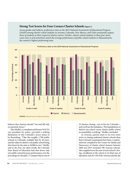## **Strong Test Scores for Four Corners Charter Schools (Figure 2)**

Across grades and subjects, proficiency rates on the 2015 National Assessment of Educational Progress (NAEP) among charter-school students in Arizona, Colorado, New Mexico, and Utah consistently surpass those of students in their respective district sectors. Further, charter-school students in these four states come close to and sometimes match the average performance of public-school students in Massachusetts, the country's highest-performing state.



Proficiency rates on the 2015 National Assessment of Educational Progress

believes that charters should "rise and fall only on parental choice."

Alex Medler, a consultant and former NACSA vice president for policy, provided a striking illustration of why Colorado's sector seems to be flourishing. "Take the roughly 1,700 public schools in Colorado, multiply that by 20 years, and the odds of a district-run public school being shut down by the state is 34,000 to one," Medler said to the Post. (In other words, the Colorado State Board of Education had shut down only one public school for poor performance over the preceding two decades.) "Compare that to one in

10 charters closing—one in five for Colorado and you'll see the imbalance. The lopsidedness of district-run school versus charter public school accountability is striking," Medler concluded.

In Arizona, parents seem to be even more active in closing undesired charter schools than their Colorado counterparts have been. A nationwide list compiled by the Center for Media and Democracy of charter school closures between 2000 and 2013 included 290 Arizona schools. Also supplied were the year of each school's closing, enrollment at the school in its final year of operation, and, for 150 of the Arizona schools, the